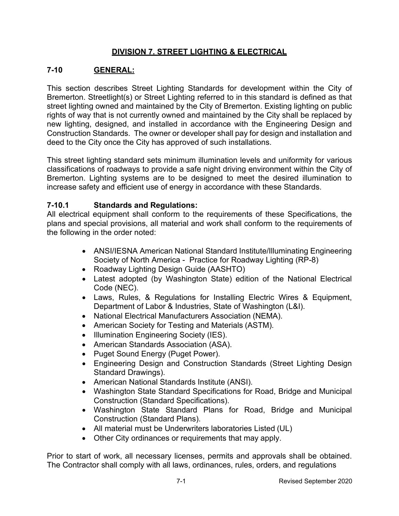## **DIVISION 7. STREET LIGHTING & ELECTRICAL**

## **7-10 GENERAL:**

This section describes Street Lighting Standards for development within the City of Bremerton. Streetlight(s) or Street Lighting referred to in this standard is defined as that street lighting owned and maintained by the City of Bremerton. Existing lighting on public rights of way that is not currently owned and maintained by the City shall be replaced by new lighting, designed, and installed in accordance with the Engineering Design and Construction Standards. The owner or developer shall pay for design and installation and deed to the City once the City has approved of such installations.

This street lighting standard sets minimum illumination levels and uniformity for various classifications of roadways to provide a safe night driving environment within the City of Bremerton. Lighting systems are to be designed to meet the desired illumination to increase safety and efficient use of energy in accordance with these Standards.

## **7-10.1 Standards and Regulations:**

All electrical equipment shall conform to the requirements of these Specifications, the plans and special provisions, all material and work shall conform to the requirements of the following in the order noted:

- ANSI/IESNA American National Standard Institute/Illuminating Engineering Society of North America - Practice for Roadway Lighting (RP-8)
- Roadway Lighting Design Guide (AASHTO)
- Latest adopted (by Washington State) edition of the National Electrical Code (NEC).
- Laws, Rules, & Regulations for Installing Electric Wires & Equipment, Department of Labor & Industries, State of Washington (L&I).
- National Electrical Manufacturers Association (NEMA).
- American Society for Testing and Materials (ASTM).
- Illumination Engineering Society (IES).
- American Standards Association (ASA).
- Puget Sound Energy (Puget Power).
- Engineering Design and Construction Standards (Street Lighting Design Standard Drawings).
- American National Standards Institute (ANSI).
- Washington State Standard Specifications for Road, Bridge and Municipal Construction (Standard Specifications).
- Washington State Standard Plans for Road, Bridge and Municipal Construction (Standard Plans).
- All material must be Underwriters laboratories Listed (UL)
- Other City ordinances or requirements that may apply.

Prior to start of work, all necessary licenses, permits and approvals shall be obtained. The Contractor shall comply with all laws, ordinances, rules, orders, and regulations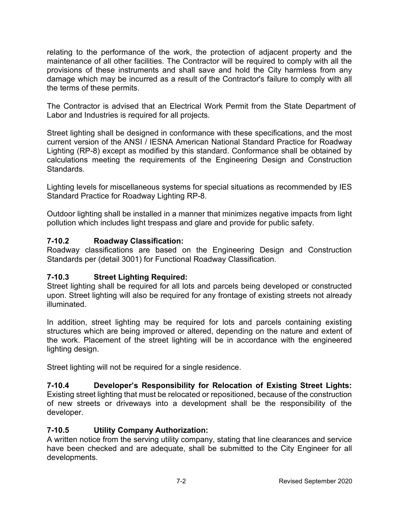relating to the performance of the work, the protection of adjacent property and the maintenance of all other facilities. The Contractor will be required to comply with all the provisions of these instruments and shall save and hold the City harmless from any damage which may be incurred as a result of the Contractor's failure to comply with all the terms of these permits.

The Contractor is advised that an Electrical Work Permit from the State Department of Labor and Industries is required for all projects.

Street lighting shall be designed in conformance with these specifications, and the most current version of the ANSI / IESNA American National Standard Practice for Roadway Lighting (RP-8) except as modified by this standard. Conformance shall be obtained by calculations meeting the requirements of the Engineering Design and Construction Standards.

Lighting levels for miscellaneous systems for special situations as recommended by IES Standard Practice for Roadway Lighting RP-8.

Outdoor lighting shall be installed in a manner that minimizes negative impacts from light pollution which includes light trespass and glare and provide for public safety.

## **7-10.2 Roadway Classification:**

Roadway classifications are based on the Engineering Design and Construction Standards per (detail 3001) for Functional Roadway Classification.

## **7-10.3 Street Lighting Required:**

Street lighting shall be required for all lots and parcels being developed or constructed upon. Street lighting will also be required for any frontage of existing streets not already illuminated.

In addition, street lighting may be required for lots and parcels containing existing structures which are being improved or altered, depending on the nature and extent of the work. Placement of the street lighting will be in accordance with the engineered lighting design.

Street lighting will not be required for a single residence.

**7-10.4 Developer's Responsibility for Relocation of Existing Street Lights:**  Existing street lighting that must be relocated or repositioned, because of the construction of new streets or driveways into a development shall be the responsibility of the developer.

## **7-10.5 Utility Company Authorization:**

A written notice from the serving utility company, stating that line clearances and service have been checked and are adequate, shall be submitted to the City Engineer for all developments.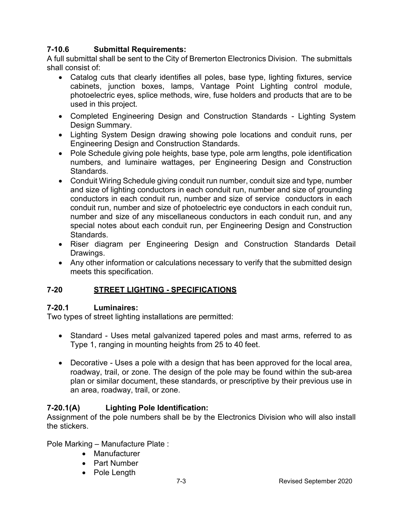## **7-10.6 Submittal Requirements:**

A full submittal shall be sent to the City of Bremerton Electronics Division. The submittals shall consist of:

- Catalog cuts that clearly identifies all poles, base type, lighting fixtures, service cabinets, junction boxes, lamps, Vantage Point Lighting control module, photoelectric eyes, splice methods, wire, fuse holders and products that are to be used in this project.
- Completed Engineering Design and Construction Standards Lighting System Design Summary.
- Lighting System Design drawing showing pole locations and conduit runs, per Engineering Design and Construction Standards.
- Pole Schedule giving pole heights, base type, pole arm lengths, pole identification numbers, and luminaire wattages, per Engineering Design and Construction Standards.
- Conduit Wiring Schedule giving conduit run number, conduit size and type, number and size of lighting conductors in each conduit run, number and size of grounding conductors in each conduit run, number and size of service conductors in each conduit run, number and size of photoelectric eye conductors in each conduit run, number and size of any miscellaneous conductors in each conduit run, and any special notes about each conduit run, per Engineering Design and Construction Standards.
- Riser diagram per Engineering Design and Construction Standards Detail Drawings.
- Any other information or calculations necessary to verify that the submitted design meets this specification.

## **7-20 STREET LIGHTING - SPECIFICATIONS**

## **7-20.1 Luminaires:**

Two types of street lighting installations are permitted:

- Standard Uses metal galvanized tapered poles and mast arms, referred to as Type 1, ranging in mounting heights from 25 to 40 feet.
- Decorative Uses a pole with a design that has been approved for the local area, roadway, trail, or zone. The design of the pole may be found within the sub-area plan or similar document, these standards, or prescriptive by their previous use in an area, roadway, trail, or zone.

## **7-20.1(A) Lighting Pole Identification:**

Assignment of the pole numbers shall be by the Electronics Division who will also install the stickers.

Pole Marking – Manufacture Plate :

- Manufacturer
- Part Number
- Pole Length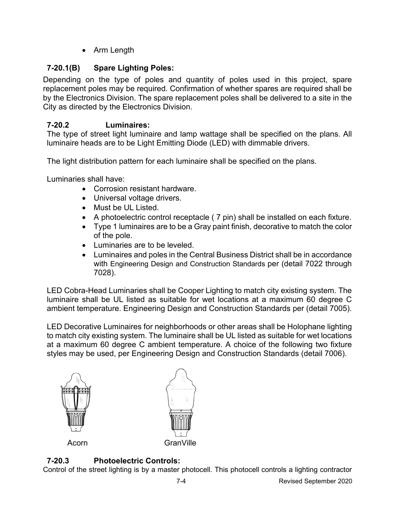• Arm Length

# **7-20.1(B) Spare Lighting Poles:**

Depending on the type of poles and quantity of poles used in this project, spare replacement poles may be required. Confirmation of whether spares are required shall be by the Electronics Division. The spare replacement poles shall be delivered to a site in the City as directed by the Electronics Division.

# **7-20.2 Luminaires:**

The type of street light luminaire and lamp wattage shall be specified on the plans. All luminaire heads are to be Light Emitting Diode (LED) with dimmable drivers.

The light distribution pattern for each luminaire shall be specified on the plans.

Luminaries shall have:

- Corrosion resistant hardware.
- Universal voltage drivers.
- Must be UL Listed.
- A photoelectric control receptacle ( 7 pin) shall be installed on each fixture.
- Type 1 luminaires are to be a Gray paint finish, decorative to match the color of the pole.
- Luminaries are to be leveled.
- Luminaires and poles in the Central Business District shall be in accordance with Engineering Design and Construction Standards per (detail 7022 through 7028).

LED Cobra-Head Luminaries shall be Cooper Lighting to match city existing system. The luminaire shall be UL listed as suitable for wet locations at a maximum 60 degree C ambient temperature. Engineering Design and Construction Standards per (detail 7005).

LED Decorative Luminaires for neighborhoods or other areas shall be Holophane lighting to match city existing system. The luminaire shall be UL listed as suitable for wet locations at a maximum 60 degree C ambient temperature. A choice of the following two fixture styles may be used, per Engineering Design and Construction Standards (detail 7006).





## **7-20.3 Photoelectric Controls:**

Control of the street lighting is by a master photocell. This photocell controls a lighting contractor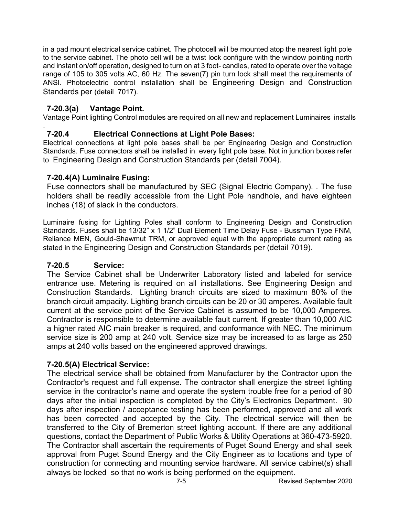in a pad mount electrical service cabinet. The photocell will be mounted atop the nearest light pole to the service cabinet. The photo cell will be a twist lock configure with the window pointing north and instant on/off operation, designed to turn on at 3 foot- candles, rated to operate over the voltage range of 105 to 305 volts AC, 60 Hz. The seven(7) pin turn lock shall meet the requirements of ANSI. Photoelectric control installation shall be Engineering Design and Construction Standards per (detail 7017).

### **7-20.3(a) Vantage Point.**

Vantage Point lighting Control modules are required on all new and replacement Luminaires installs

#### . **7-20.4 Electrical Connections at Light Pole Bases:**

Electrical connections at light pole bases shall be per Engineering Design and Construction Standards. Fuse connectors shall be installed in every light pole base. Not in junction boxes refer to Engineering Design and Construction Standards per (detail 7004).

#### **7-20.4(A) Luminaire Fusing:**

Fuse connectors shall be manufactured by SEC (Signal Electric Company). . The fuse holders shall be readily accessible from the Light Pole handhole, and have eighteen inches (18) of slack in the conductors.

Luminaire fusing for Lighting Poles shall conform to Engineering Design and Construction Standards. Fuses shall be 13/32" x 1 1/2" Dual Element Time Delay Fuse - Bussman Type FNM, Reliance MEN, Gould-Shawmut TRM, or approved equal with the appropriate current rating as stated in the Engineering Design and Construction Standards per (detail 7019).

#### **7-20.5 Service:**

The Service Cabinet shall be Underwriter Laboratory listed and labeled for service entrance use. Metering is required on all installations. See Engineering Design and Construction Standards. Lighting branch circuits are sized to maximum 80% of the branch circuit ampacity. Lighting branch circuits can be 20 or 30 amperes. Available fault current at the service point of the Service Cabinet is assumed to be 10,000 Amperes. Contractor is responsible to determine available fault current. If greater than 10,000 AIC a higher rated AIC main breaker is required, and conformance with NEC. The minimum service size is 200 amp at 240 volt. Service size may be increased to as large as 250 amps at 240 volts based on the engineered approved drawings.

#### **7-20.5(A) Electrical Service:**

The electrical service shall be obtained from Manufacturer by the Contractor upon the Contractor's request and full expense. The contractor shall energize the street lighting service in the contractor's name and operate the system trouble free for a period of 90 days after the initial inspection is completed by the City's Electronics Department. 90 days after inspection / acceptance testing has been performed, approved and all work has been corrected and accepted by the City. The electrical service will then be transferred to the City of Bremerton street lighting account. If there are any additional questions, contact the Department of Public Works & Utility Operations at 360-473-5920. The Contractor shall ascertain the requirements of Puget Sound Energy and shall seek approval from Puget Sound Energy and the City Engineer as to locations and type of construction for connecting and mounting service hardware. All service cabinet(s) shall always be locked so that no work is being performed on the equipment.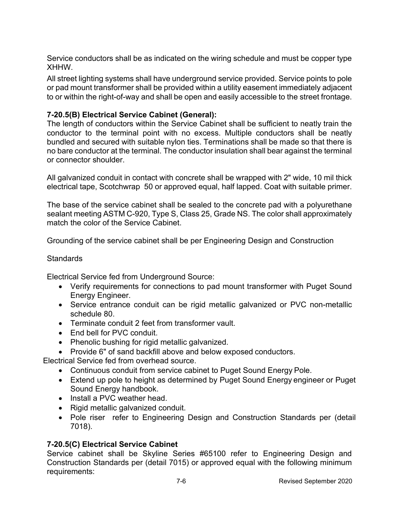Service conductors shall be as indicated on the wiring schedule and must be copper type XHHW.

All street lighting systems shall have underground service provided. Service points to pole or pad mount transformer shall be provided within a utility easement immediately adjacent to or within the right-of-way and shall be open and easily accessible to the street frontage.

## **7-20.5(B) Electrical Service Cabinet (General):**

The length of conductors within the Service Cabinet shall be sufficient to neatly train the conductor to the terminal point with no excess. Multiple conductors shall be neatly bundled and secured with suitable nylon ties. Terminations shall be made so that there is no bare conductor at the terminal. The conductor insulation shall bear against the terminal or connector shoulder.

All galvanized conduit in contact with concrete shall be wrapped with 2" wide, 10 mil thick electrical tape, Scotchwrap 50 or approved equal, half lapped. Coat with suitable primer.

The base of the service cabinet shall be sealed to the concrete pad with a polyurethane sealant meeting ASTM C-920, Type S, Class 25, Grade NS. The color shall approximately match the color of the Service Cabinet.

Grounding of the service cabinet shall be per Engineering Design and Construction

#### **Standards**

Electrical Service fed from Underground Source:

- Verify requirements for connections to pad mount transformer with Puget Sound Energy Engineer.
- Service entrance conduit can be rigid metallic galvanized or PVC non-metallic schedule 80.
- Terminate conduit 2 feet from transformer vault.
- End bell for PVC conduit.
- Phenolic bushing for rigid metallic galvanized.
- Provide 6" of sand backfill above and below exposed conductors.

Electrical Service fed from overhead source.

- Continuous conduit from service cabinet to Puget Sound Energy Pole.
- Extend up pole to height as determined by Puget Sound Energy engineer or Puget Sound Energy handbook.
- Install a PVC weather head.
- Rigid metallic galvanized conduit.
- Pole riser refer to Engineering Design and Construction Standards per (detail 7018).

## **7-20.5(C) Electrical Service Cabinet**

Service cabinet shall be Skyline Series #65100 refer to Engineering Design and Construction Standards per (detail 7015) or approved equal with the following minimum requirements: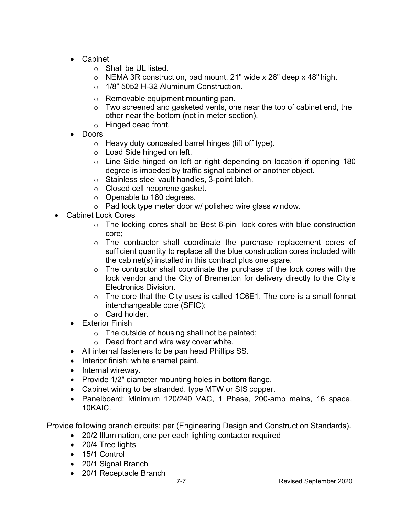- Cabinet
	- o Shall be UL listed.
	- o NEMA 3R construction, pad mount, 21" wide x 26" deep x 48" high.
	- o 1/8" 5052 H-32 Aluminum Construction.
	- o Removable equipment mounting pan.
	- o Two screened and gasketed vents, one near the top of cabinet end, the other near the bottom (not in meter section).
	- o Hinged dead front.
- Doors
	- o Heavy duty concealed barrel hinges (lift off type).
	- o Load Side hinged on left.
	- o Line Side hinged on left or right depending on location if opening 180 degree is impeded by traffic signal cabinet or another object.
	- o Stainless steel vault handles, 3-point latch.
	- o Closed cell neoprene gasket.
	- o Openable to 180 degrees.
	- $\circ$  Pad lock type meter door w/ polished wire glass window.
- Cabinet Lock Cores
	- $\circ$  The locking cores shall be Best 6-pin lock cores with blue construction core;
	- o The contractor shall coordinate the purchase replacement cores of sufficient quantity to replace all the blue construction cores included with the cabinet(s) installed in this contract plus one spare.
	- $\circ$  The contractor shall coordinate the purchase of the lock cores with the lock vendor and the City of Bremerton for delivery directly to the City's Electronics Division.
	- $\circ$  The core that the City uses is called 1C6E1. The core is a small format interchangeable core (SFIC);
	- o Card holder.
	- Exterior Finish
		- o The outside of housing shall not be painted;
		- o Dead front and wire way cover white.
	- All internal fasteners to be pan head Phillips SS.
	- Interior finish: white enamel paint.
	- Internal wireway.
	- Provide 1/2" diameter mounting holes in bottom flange.
	- Cabinet wiring to be stranded, type MTW or SIS copper.
	- Panelboard: Minimum 120/240 VAC, 1 Phase, 200-amp mains, 16 space, 10KAIC.

Provide following branch circuits: per (Engineering Design and Construction Standards).

- 20/2 Illumination, one per each lighting contactor required
- 20/4 Tree lights
- 15/1 Control
- 20/1 Signal Branch
- 20/1 Receptacle Branch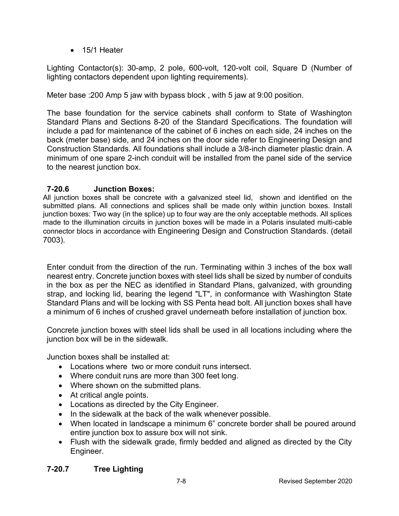• 15/1 Heater

Lighting Contactor(s): 30-amp, 2 pole, 600-volt, 120-volt coil, Square D (Number of lighting contactors dependent upon lighting requirements).

Meter base :200 Amp 5 jaw with bypass block , with 5 jaw at 9:00 position.

The base foundation for the service cabinets shall conform to State of Washington Standard Plans and Sections 8-20 of the Standard Specifications. The foundation will include a pad for maintenance of the cabinet of 6 inches on each side, 24 inches on the back (meter base) side, and 24 inches on the door side refer to Engineering Design and Construction Standards. All foundations shall include a 3/8-inch diameter plastic drain. A minimum of one spare 2-inch conduit will be installed from the panel side of the service to the nearest junction box.

## **7-20.6 Junction Boxes:**

All junction boxes shall be concrete with a galvanized steel lid, shown and identified on the submitted plans. All connections and splices shall be made only within junction boxes. Install junction boxes: Two way (in the splice) up to four way are the only acceptable methods. All splices made to the illumination circuits in junction boxes will be made in a Polaris insulated multi-cable connector blocs in accordance with Engineering Design and Construction Standards. (detail 7003).

Enter conduit from the direction of the run. Terminating within 3 inches of the box wall nearest entry. Concrete junction boxes with steel lids shall be sized by number of conduits in the box as per the NEC as identified in Standard Plans, galvanized, with grounding strap, and locking lid, bearing the legend "LT", in conformance with Washington State Standard Plans and will be locking with SS Penta head bolt. All junction boxes shall have a minimum of 6 inches of crushed gravel underneath before installation of junction box.

Concrete junction boxes with steel lids shall be used in all locations including where the junction box will be in the sidewalk.

Junction boxes shall be installed at:

- Locations where two or more conduit runs intersect.
- Where conduit runs are more than 300 feet long.
- Where shown on the submitted plans.
- At critical angle points.
- Locations as directed by the City Engineer.
- In the sidewalk at the back of the walk whenever possible.
- When located in landscape a minimum 6" concrete border shall be poured around entire junction box to assure box will not sink.
- Flush with the sidewalk grade, firmly bedded and aligned as directed by the City Engineer.

## **7-20.7 Tree Lighting**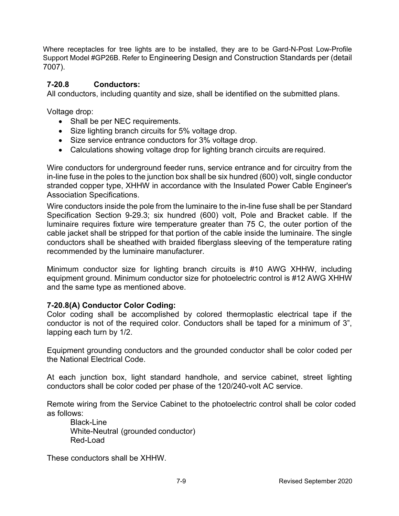Where receptacles for tree lights are to be installed, they are to be Gard-N-Post Low-Profile Support Model #GP26B. Refer to Engineering Design and Construction Standards per (detail 7007).

### **7-20.8 Conductors:**

All conductors, including quantity and size, shall be identified on the submitted plans.

Voltage drop:

- Shall be per NEC requirements.
- Size lighting branch circuits for 5% voltage drop.
- Size service entrance conductors for 3% voltage drop.
- Calculations showing voltage drop for lighting branch circuits are required.

Wire conductors for underground feeder runs, service entrance and for circuitry from the in-line fuse in the poles to the junction box shall be six hundred (600) volt, single conductor stranded copper type, XHHW in accordance with the Insulated Power Cable Engineer's Association Specifications.

Wire conductors inside the pole from the luminaire to the in-line fuse shall be per Standard Specification Section 9-29.3; six hundred (600) volt, Pole and Bracket cable. If the luminaire requires fixture wire temperature greater than 75 C, the outer portion of the cable jacket shall be stripped for that portion of the cable inside the luminaire. The single conductors shall be sheathed with braided fiberglass sleeving of the temperature rating recommended by the luminaire manufacturer.

Minimum conductor size for lighting branch circuits is #10 AWG XHHW, including equipment ground. Minimum conductor size for photoelectric control is #12 AWG XHHW and the same type as mentioned above.

#### **7-20.8(A) Conductor Color Coding:**

Color coding shall be accomplished by colored thermoplastic electrical tape if the conductor is not of the required color. Conductors shall be taped for a minimum of 3", lapping each turn by 1/2.

Equipment grounding conductors and the grounded conductor shall be color coded per the National Electrical Code.

At each junction box, light standard handhole, and service cabinet, street lighting conductors shall be color coded per phase of the 120/240-volt AC service.

Remote wiring from the Service Cabinet to the photoelectric control shall be color coded as follows:

Black-Line White-Neutral (grounded conductor) Red-Load

These conductors shall be XHHW.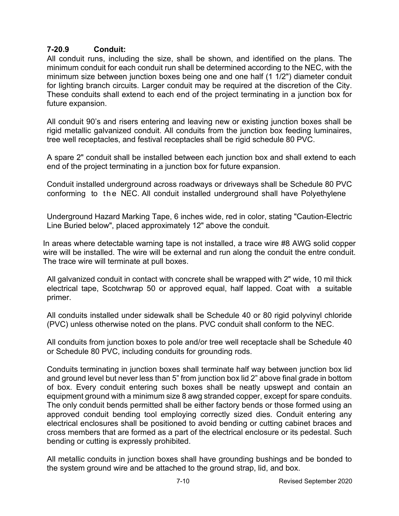## **7-20.9 Conduit:**

All conduit runs, including the size, shall be shown, and identified on the plans. The minimum conduit for each conduit run shall be determined according to the NEC, with the minimum size between junction boxes being one and one half (1 1/2") diameter conduit for lighting branch circuits. Larger conduit may be required at the discretion of the City. These conduits shall extend to each end of the project terminating in a junction box for future expansion.

All conduit 90's and risers entering and leaving new or existing junction boxes shall be rigid metallic galvanized conduit. All conduits from the junction box feeding luminaires, tree well receptacles, and festival receptacles shall be rigid schedule 80 PVC.

A spare 2" conduit shall be installed between each junction box and shall extend to each end of the project terminating in a junction box for future expansion.

Conduit installed underground across roadways or driveways shall be Schedule 80 PVC conforming to the NEC. All conduit installed underground shall have Polyethylene

Underground Hazard Marking Tape, 6 inches wide, red in color, stating "Caution-Electric Line Buried below", placed approximately 12" above the conduit.

In areas where detectable warning tape is not installed, a trace wire #8 AWG solid copper wire will be installed. The wire will be external and run along the conduit the entre conduit. The trace wire will terminate at pull boxes.

All galvanized conduit in contact with concrete shall be wrapped with 2" wide, 10 mil thick electrical tape, Scotchwrap 50 or approved equal, half lapped. Coat with a suitable primer.

All conduits installed under sidewalk shall be Schedule 40 or 80 rigid polyvinyl chloride (PVC) unless otherwise noted on the plans. PVC conduit shall conform to the NEC.

All conduits from junction boxes to pole and/or tree well receptacle shall be Schedule 40 or Schedule 80 PVC, including conduits for grounding rods.

Conduits terminating in junction boxes shall terminate half way between junction box lid and ground level but never less than 5" from junction box lid 2" above final grade in bottom of box. Every conduit entering such boxes shall be neatly upswept and contain an equipment ground with a minimum size 8 awg stranded copper, except for spare conduits. The only conduit bends permitted shall be either factory bends or those formed using an approved conduit bending tool employing correctly sized dies. Conduit entering any electrical enclosures shall be positioned to avoid bending or cutting cabinet braces and cross members that are formed as a part of the electrical enclosure or its pedestal. Such bending or cutting is expressly prohibited.

All metallic conduits in junction boxes shall have grounding bushings and be bonded to the system ground wire and be attached to the ground strap, lid, and box.